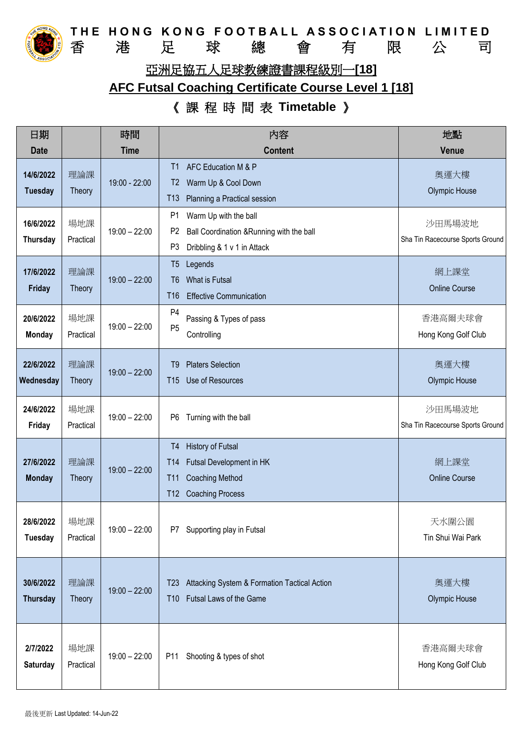

THE HONG KONG FOOTBALL ASSOCIATION LIMITED<br>香 港 足 球 總 會 有 限 公 司 香 港 足 球 總 會 有 限 公 司 亞洲足協五人足球教練證書課程級別一**[18]**

## **AFC Futsal Coaching Certificate Course Level 1 [18]**

## 《 課 程 時 間 表 **Timetable** 》

| 日期                           |                  | 時間              | 内容                                                                                                                                                             | 地點                                         |
|------------------------------|------------------|-----------------|----------------------------------------------------------------------------------------------------------------------------------------------------------------|--------------------------------------------|
| <b>Date</b>                  |                  | <b>Time</b>     | <b>Content</b>                                                                                                                                                 | <b>Venue</b>                               |
| 14/6/2022<br><b>Tuesday</b>  | 理論課<br>Theory    | 19:00 - 22:00   | AFC Education M & P<br>T1<br>Warm Up & Cool Down<br>T <sub>2</sub><br>T13<br>Planning a Practical session                                                      | 奧運大樓<br><b>Olympic House</b>               |
| 16/6/2022<br>Thursday        | 場地課<br>Practical | $19:00 - 22:00$ | P <sub>1</sub><br>Warm Up with the ball<br>P <sub>2</sub><br>Ball Coordination & Running with the ball<br>P <sub>3</sub><br>Dribbling & 1 v 1 in Attack        | 沙田馬場波地<br>Sha Tin Racecourse Sports Ground |
| 17/6/2022<br>Friday          | 理論課<br>Theory    | $19:00 - 22:00$ | Legends<br>T5<br>What is Futsal<br>T6<br>T <sub>16</sub><br><b>Effective Communication</b>                                                                     | 網上課堂<br><b>Online Course</b>               |
| 20/6/2022<br><b>Monday</b>   | 場地課<br>Practical | $19:00 - 22:00$ | P <sub>4</sub><br>Passing & Types of pass<br>P <sub>5</sub><br>Controlling                                                                                     | 香港高爾夫球會<br>Hong Kong Golf Club             |
| 22/6/2022<br>Wednesday       | 理論課<br>Theory    | $19:00 - 22:00$ | <b>Platers Selection</b><br>T9<br>Use of Resources<br>T <sub>15</sub>                                                                                          | 奧運大樓<br>Olympic House                      |
| 24/6/2022<br>Friday          | 場地課<br>Practical | $19:00 - 22:00$ | Turning with the ball<br>P <sub>6</sub>                                                                                                                        | 沙田馬場波地<br>Sha Tin Racecourse Sports Ground |
| 27/6/2022<br><b>Monday</b>   | 理論課<br>Theory    | $19:00 - 22:00$ | <b>History of Futsal</b><br>T4<br>Futsal Development in HK<br>T <sub>14</sub><br><b>Coaching Method</b><br><b>T11</b><br><b>Coaching Process</b><br><b>T12</b> | 網上課堂<br><b>Online Course</b>               |
| 28/6/2022<br><b>Tuesday</b>  | 場地課<br>Practical | $19:00 - 22:00$ | Supporting play in Futsal<br>P7                                                                                                                                | 天水圍公園<br>Tin Shui Wai Park                 |
| 30/6/2022<br><b>Thursday</b> | 理論課<br>Theory    | $19:00 - 22:00$ | Attacking System & Formation Tactical Action<br>T <sub>23</sub><br>Futsal Laws of the Game<br><b>T10</b>                                                       | 奧運大樓<br>Olympic House                      |
| 2/7/2022<br><b>Saturday</b>  | 場地課<br>Practical | $19:00 - 22:00$ | Shooting & types of shot<br>P11                                                                                                                                | 香港高爾夫球會<br>Hong Kong Golf Club             |